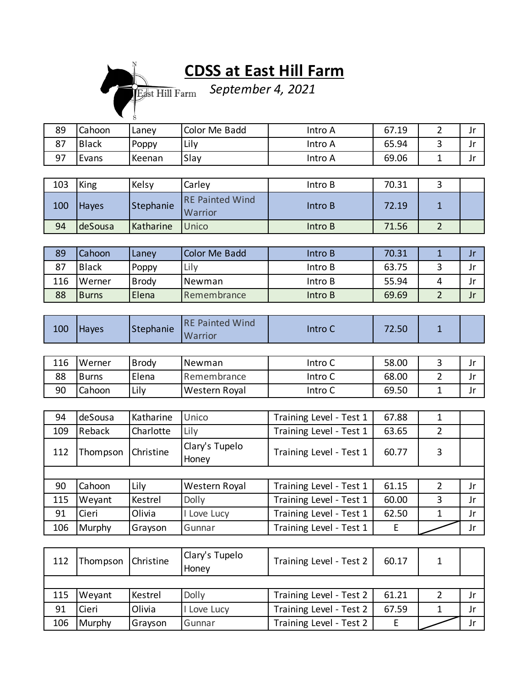## **CDSS at East Hill Farm**

*September 4, 2021*

| 89 | Cahoon       | Lanev  | Color Me Badd | Intro A | 67.19 | ١r<br>JI  |
|----|--------------|--------|---------------|---------|-------|-----------|
| 87 | <b>Black</b> | Poppy  | Lily          | Intro A | 65.94 | ١r<br>JI  |
| 97 | Evans        | Keenan | Slay          | Intro A | 69.06 | . e<br>JI |

| 103 | King         | Kelsy     | Carley                            | Intro B | 70.31 |  |
|-----|--------------|-----------|-----------------------------------|---------|-------|--|
| 100 | <b>Haves</b> | Stephanie | <b>RE Painted Wind</b><br>Warrior | Intro B | 72.19 |  |
| 94  | deSousa      | Katharine | <b>Unico</b>                      | Intro B | 71.56 |  |

| 89  | l Cahoon     | Lanev        | Color Me Badd | Intro B | 70.31 | JI |
|-----|--------------|--------------|---------------|---------|-------|----|
| 87  | <b>Black</b> | Poppy        | Lily          | Intro B | 63.75 | JI |
| 116 | l Werner     | <b>Brody</b> | Newman        | Intro B | 55.94 |    |
| 88  | <b>Burns</b> | Elena        | Remembrance   | Intro B | 69.69 |    |

| 100 | <b>Hayes</b> | Stephanie | <b>RE Painted Wind</b><br><b>Warrior</b> | Intro C | 72.50 |  |  |
|-----|--------------|-----------|------------------------------------------|---------|-------|--|--|
|-----|--------------|-----------|------------------------------------------|---------|-------|--|--|

| 116 | Werner | <b>Brody</b> | Newman        | Intro C | 58.00 | . . |
|-----|--------|--------------|---------------|---------|-------|-----|
| 88  | Burns  | Elena        | Remembrance   | Intro C | 68.00 | J   |
| 90  | Cahoon | Lily         | Western Royal | Intro C | 69.50 |     |

| 94  | deSousa  | Katharine | Unico                   | Training Level - Test 1 | 67.88 |   |     |
|-----|----------|-----------|-------------------------|-------------------------|-------|---|-----|
| 109 | Reback   | Charlotte | Lily                    | Training Level - Test 1 | 63.65 | 2 |     |
| 112 | Thompson | Christine | Clary's Tupelo<br>Honey | Training Level - Test 1 | 60.77 | 3 |     |
|     |          |           |                         |                         |       |   |     |
| 90  | Cahoon   | Lily      | Western Royal           | Training Level - Test 1 | 61.15 | 2 | Jr  |
| 115 | Weyant   | Kestrel   | Dolly                   | Training Level - Test 1 | 60.00 | 3 | Jr  |
| 91  | Cieri    | Olivia    | I Love Lucy             | Training Level - Test 1 | 62.50 |   | Jr  |
| 106 | Murphy   | Grayson   | Gunnar                  | Training Level - Test 1 | E     |   | Jr. |

| 112 | Thompson | Christine | Clary's Tupelo<br>Honey | Training Level - Test 2 | 60.17 |  |
|-----|----------|-----------|-------------------------|-------------------------|-------|--|
|     |          |           |                         |                         |       |  |
| 115 | Weyant   | Kestrel   | <b>Dolly</b>            | Training Level - Test 2 | 61.21 |  |
| 91  | Cieri    | Olivia    | Love Lucy               | Training Level - Test 2 | 67.59 |  |
| 106 | Murphy   | Grayson   | Gunnar                  | Training Level - Test 2 |       |  |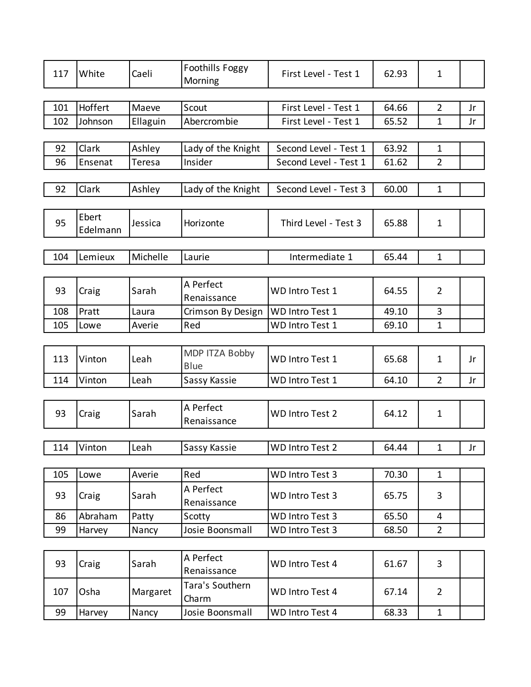| 117 | White      | Caeli    | Foothills Foggy<br>Morning    | First Level - Test 1   | 62.93 | $\mathbf{1}$   |    |
|-----|------------|----------|-------------------------------|------------------------|-------|----------------|----|
|     |            |          |                               |                        |       |                |    |
| 101 | Hoffert    | Maeve    | Scout                         | First Level - Test 1   | 64.66 | $\overline{2}$ | Jr |
| 102 | Johnson    | Ellaguin | Abercrombie                   | First Level - Test 1   | 65.52 | $\mathbf{1}$   | Jr |
|     |            |          |                               |                        |       |                |    |
| 92  | Clark      | Ashley   | Lady of the Knight            | Second Level - Test 1  | 63.92 | $\mathbf{1}$   |    |
| 96  | Ensenat    | Teresa   | Insider                       | Second Level - Test 1  | 61.62 | $\overline{2}$ |    |
|     |            |          |                               |                        |       |                |    |
| 92  | Clark      | Ashley   | Lady of the Knight            | Second Level - Test 3  | 60.00 | $\mathbf{1}$   |    |
| 95  | Ebert      | Jessica  | Horizonte                     | Third Level - Test 3   | 65.88 | $\mathbf{1}$   |    |
|     | Edelmann   |          |                               |                        |       |                |    |
|     |            |          |                               |                        |       |                |    |
| 104 | Lemieux    | Michelle | Laurie                        | Intermediate 1         | 65.44 | $\mathbf{1}$   |    |
|     |            |          |                               |                        |       |                |    |
| 93  | Craig      | Sarah    | A Perfect<br>Renaissance      | <b>WD Intro Test 1</b> | 64.55 | $\overline{2}$ |    |
| 108 | Pratt      | Laura    | Crimson By Design             | WD Intro Test 1        | 49.10 | $\overline{3}$ |    |
| 105 | Lowe       | Averie   | Red                           | WD Intro Test 1        | 69.10 | $\mathbf{1}$   |    |
|     |            |          |                               |                        |       |                |    |
| 113 | Vinton     | Leah     | MDP ITZA Bobby<br><b>Blue</b> | <b>WD Intro Test 1</b> | 65.68 | $\mathbf{1}$   | Jr |
| 114 | Vinton     | Leah     | Sassy Kassie                  | WD Intro Test 1        | 64.10 | $\overline{2}$ | Jr |
|     |            |          |                               |                        |       |                |    |
| 93  | Craig      | Sarah    | A Perfect<br>Renaissance      | <b>WD Intro Test 2</b> | 64.12 | $\mathbf{1}$   |    |
|     |            |          |                               |                        |       |                |    |
|     | 114 Vinton | Leah     | Sassy Kassie                  | WD Intro Test 2        | 64.44 | $\mathbf{1}$   | Jr |
|     |            |          |                               |                        |       |                |    |
| 105 | Lowe       | Averie   | Red                           | WD Intro Test 3        | 70.30 | $\mathbf{1}$   |    |
| 93  | Craig      | Sarah    | A Perfect<br>Renaissance      | WD Intro Test 3        | 65.75 | 3              |    |
| 86  | Abraham    | Patty    | Scotty                        | WD Intro Test 3        | 65.50 | 4              |    |
| 99  | Harvey     | Nancy    | Josie Boonsmall               | WD Intro Test 3        | 68.50 | $\overline{2}$ |    |
|     |            |          |                               |                        |       |                |    |
| 93  | Craig      | Sarah    | A Perfect<br>Renaissance      | WD Intro Test 4        | 61.67 | 3              |    |
| 107 | Osha       | Margaret | Tara's Southern<br>Charm      | WD Intro Test 4        | 67.14 | $\overline{2}$ |    |
| 99  | Harvey     | Nancy    | Josie Boonsmall               | WD Intro Test 4        | 68.33 | $\mathbf{1}$   |    |